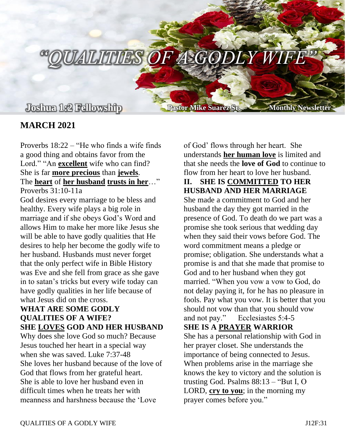**Joshua 1:2 Fellowship Pastor Mike Suarez Sr. Monthly Newsletter**

 $\sqrt{ALITIES$  OF A GODLY WIFE

# **MARCH 2021**

Proverbs 18:22 – "He who finds a wife finds a good thing and obtains favor from the Lord." "An **excellent** wife who can find? She is far **more precious** than **jewels**. The **heart** of **her husband trusts in her**…" Proverbs 31:10-11a

God desires every marriage to be bless and healthy. Every wife plays a big role in marriage and if she obeys God's Word and allows Him to make her more like Jesus she will be able to have godly qualities that He desires to help her become the godly wife to her husband. Husbands must never forget that the only perfect wife in Bible History was Eve and she fell from grace as she gave in to satan's tricks but every wife today can have godly qualities in her life because of what Jesus did on the cross.

## **WHAT ARE SOME GODLY QUALITIES OF A WIFE? SHE LOVES GOD AND HER HUSBAND**

Why does she love God so much? Because Jesus touched her heart in a special way when she was saved. Luke 7:37-48 She loves her husband because of the love of God that flows from her grateful heart. She is able to love her husband even in difficult times when he treats her with meanness and harshness because the 'Love

of God' flows through her heart. She understands **her human love** is limited and that she needs the **love of God** to continue to flow from her heart to love her husband.

### **II. SHE IS COMMITTED TO HER HUSBAND AND HER MARRIAGE**

She made a commitment to God and her husband the day they got married in the presence of God. To death do we part was a promise she took serious that wedding day when they said their vows before God. The word commitment means a pledge or promise; obligation. She understands what a promise is and that she made that promise to God and to her husband when they got married. "When you vow a vow to God, do not delay paying it, for he has no pleasure in fools. Pay what you vow. It is better that you should not vow than that you should vow and not pay." Ecclesiastes 5:4-5

#### **SHE IS A PRAYER WARRIOR**

She has a personal relationship with God in her prayer closet. She understands the importance of being connected to Jesus. When problems arise in the marriage she knows the key to victory and the solution is trusting God. Psalms 88:13 – "But I, O LORD, **cry to you**; in the morning my prayer comes before you."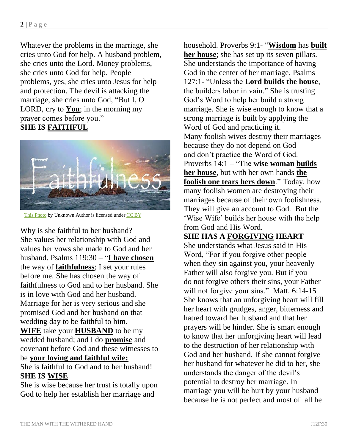Whatever the problems in the marriage, she cries unto God for help. A husband problem, she cries unto the Lord. Money problems, she cries unto God for help. People problems, yes, she cries unto Jesus for help and protection. The devil is attacking the marriage, she cries unto God, "But I, O LORD, cry to **You**; in the morning my prayer comes before you." **SHE IS FAITHFUL**



[This Photo](http://designers-original.blogspot.com/2012_10_01_archive.html) by Unknown Author is licensed unde[r CC BY](https://creativecommons.org/licenses/by/3.0/)

Why is she faithful to her husband? She values her relationship with God and values her vows she made to God and her husband. Psalms 119:30 – "**I have chosen** the way of **faithfulness**; I set your rules before me. She has chosen the way of faithfulness to God and to her husband. She is in love with God and her husband. Marriage for her is very serious and she promised God and her husband on that wedding day to be faithful to him. **WIFE** take your **HUSBAND** to be my wedded husband; and I do **promise** and covenant before God and these witnesses to be **your loving and faithful wife:** She is faithful to God and to her husband! **SHE IS WISE**

She is wise because her trust is totally upon God to help her establish her marriage and

household. Proverbs 9:1- "**Wisdom** has **built her house**; she has set up its seven pillars. She understands the importance of having God in the center of her marriage. Psalms 127:1- "Unless the **Lord builds the house**, the builders labor in vain." She is trusting God's Word to help her build a strong marriage. She is wise enough to know that a strong marriage is built by applying the Word of God and practicing it. Many foolish wives destroy their marriages because they do not depend on God and don't practice the Word of God. Proverbs 14:1 – "The **wise woman builds her house**, but with her own hands **the foolish one tears hers down**." Today, how many foolish women are destroying their marriages because of their own foolishness. They will give an account to God. But the 'Wise Wife' builds her house with the help from God and His Word.

## **SHE HAS A FORGIVING HEART**

She understands what Jesus said in His Word, "For if you forgive other people when they sin against you, your heavenly Father will also forgive you. But if you do not forgive others their sins, your Father will not forgive your sins." Matt. 6:14-15 She knows that an unforgiving heart will fill her heart with grudges, anger, bitterness and hatred toward her husband and that her prayers will be hinder. She is smart enough to know that her unforgiving heart will lead to the destruction of her relationship with God and her husband. If she cannot forgive her husband for whatever he did to her, she understands the danger of the devil's potential to destroy her marriage. In marriage you will be hurt by your husband because he is not perfect and most of all he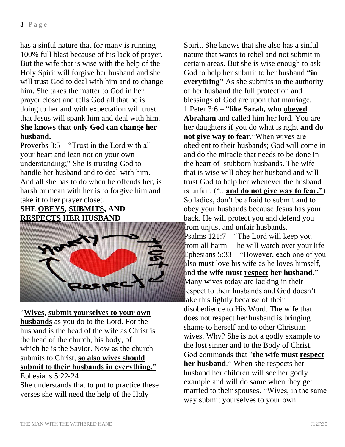has a sinful nature that for many is running 100% full blast because of his lack of prayer. But the wife that is wise with the help of the Holy Spirit will forgive her husband and she will trust God to deal with him and to change him. She takes the matter to God in her prayer closet and tells God all that he is doing to her and with expectation will trust that Jesus will spank him and deal with him. **She knows that only God can change her husband.**

Proverbs 3:5 – "Trust in the Lord with all your heart and lean not on your own understanding;" She is trusting God to handle her husband and to deal with him. And all she has to do when he offends her, is harsh or mean with her is to forgive him and take it to her prayer closet.

## **SHE OBEYS, SUBMITS, AND RESPECTS HER HUSBAND**



**Wives, submit yourselves to your own husbands** as you do to the Lord. For the husband is the head of the wife as Christ is the head of the church, his body, of which he is the Savior. Now as the church submits to Christ, **so also wives should submit to their husbands in everything."**  Ephesians 5:22-24

She understands that to put to practice these verses she will need the help of the Holy

Spirit. She knows that she also has a sinful nature that wants to rebel and not submit in certain areas. But she is wise enough to ask God to help her submit to her husband **"in everything"** As she submits to the authority of her husband the full protection and blessings of God are upon that marriage. 1 Peter 3:6 – "**like Sarah, who obeyed Abraham** and called him her lord. You are her daughters if you do what is right **and do not give way to fear**."When wives are obedient to their husbands; God will come in and do the miracle that needs to be done in the heart of stubborn husbands. The wife that is wise will obey her husband and will trust God to help her whenever the husband is unfair. ("...**and do not give way to fear."**) So ladies, don't be afraid to submit and to obey your husbands because Jesus has your back. He will protect you and defend you from unjust and unfair husbands. Psalms 121:7 – "The Lord will keep you from all harm —he will watch over your life Ephesians 5:33 – "However, each one of you also must love his wife as he loves himself, and **the wife must respect her husband**." Many wives today are lacking in their respect to their husbands and God doesn't ake this lightly because of their disobedience to His Word. The wife that does not respect her husband is bringing shame to herself and to other Christian wives. Why? She is not a godly example to the lost sinner and to the Body of Christ. God commands that "**the wife must respect her husband**." When she respects her husband her children will see her godly example and will do same when they get married to their spouses. "Wives, in the same way submit yourselves to your own